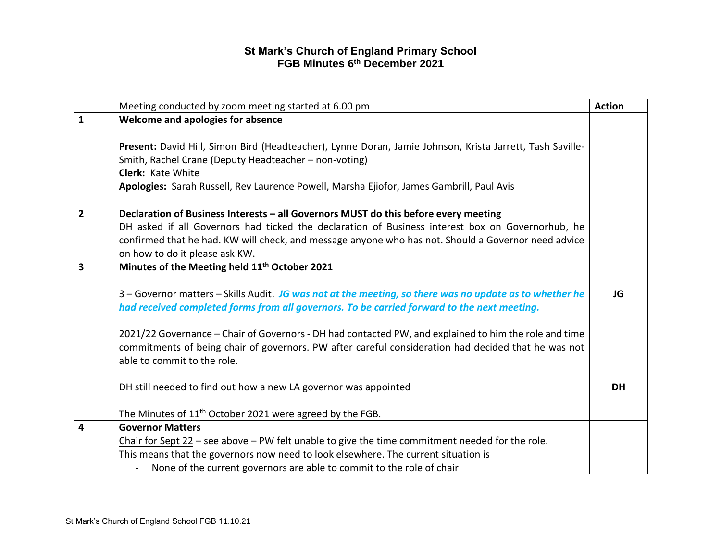|                | Meeting conducted by zoom meeting started at 6.00 pm                                                                                                              | <b>Action</b> |
|----------------|-------------------------------------------------------------------------------------------------------------------------------------------------------------------|---------------|
| $\mathbf{1}$   | Welcome and apologies for absence                                                                                                                                 |               |
|                |                                                                                                                                                                   |               |
|                | Present: David Hill, Simon Bird (Headteacher), Lynne Doran, Jamie Johnson, Krista Jarrett, Tash Saville-<br>Smith, Rachel Crane (Deputy Headteacher - non-voting) |               |
|                | Clerk: Kate White                                                                                                                                                 |               |
|                | Apologies: Sarah Russell, Rev Laurence Powell, Marsha Ejiofor, James Gambrill, Paul Avis                                                                          |               |
|                |                                                                                                                                                                   |               |
| $\overline{2}$ | Declaration of Business Interests - all Governors MUST do this before every meeting                                                                               |               |
|                | DH asked if all Governors had ticked the declaration of Business interest box on Governorhub, he                                                                  |               |
|                | confirmed that he had. KW will check, and message anyone who has not. Should a Governor need advice                                                               |               |
|                | on how to do it please ask KW.                                                                                                                                    |               |
| 3              | Minutes of the Meeting held 11 <sup>th</sup> October 2021                                                                                                         |               |
|                |                                                                                                                                                                   |               |
|                | 3 - Governor matters - Skills Audit. JG was not at the meeting, so there was no update as to whether he                                                           | JG            |
|                | had received completed forms from all governors. To be carried forward to the next meeting.                                                                       |               |
|                | 2021/22 Governance - Chair of Governors - DH had contacted PW, and explained to him the role and time                                                             |               |
|                | commitments of being chair of governors. PW after careful consideration had decided that he was not                                                               |               |
|                | able to commit to the role.                                                                                                                                       |               |
|                |                                                                                                                                                                   |               |
|                | DH still needed to find out how a new LA governor was appointed                                                                                                   | <b>DH</b>     |
|                |                                                                                                                                                                   |               |
|                | The Minutes of 11 <sup>th</sup> October 2021 were agreed by the FGB.                                                                                              |               |
| 4              | <b>Governor Matters</b>                                                                                                                                           |               |
|                | Chair for Sept $22$ – see above – PW felt unable to give the time commitment needed for the role.                                                                 |               |
|                | This means that the governors now need to look elsewhere. The current situation is                                                                                |               |
|                | None of the current governors are able to commit to the role of chair                                                                                             |               |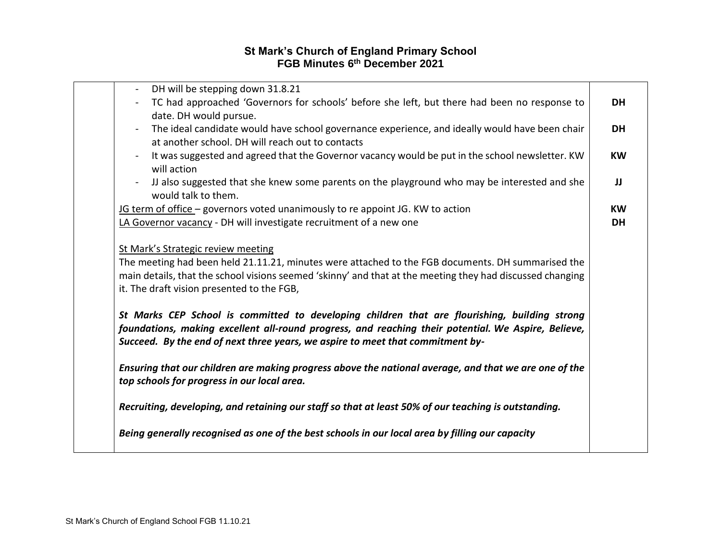| DH will be stepping down 31.8.21                                                                                  |           |
|-------------------------------------------------------------------------------------------------------------------|-----------|
| TC had approached 'Governors for schools' before she left, but there had been no response to<br>$\blacksquare$    | <b>DH</b> |
| date. DH would pursue.                                                                                            |           |
| The ideal candidate would have school governance experience, and ideally would have been chair<br>$\blacksquare$  | <b>DH</b> |
| at another school. DH will reach out to contacts                                                                  |           |
| It was suggested and agreed that the Governor vacancy would be put in the school newsletter. KW<br>$\blacksquare$ | <b>KW</b> |
| will action                                                                                                       |           |
|                                                                                                                   |           |
| IJ also suggested that she knew some parents on the playground who may be interested and she<br>$\blacksquare$    | JJ        |
| would talk to them.                                                                                               |           |
| IG term of office - governors voted unanimously to re appoint JG. KW to action                                    | <b>KW</b> |
| LA Governor vacancy - DH will investigate recruitment of a new one                                                | <b>DH</b> |
|                                                                                                                   |           |
| St Mark's Strategic review meeting                                                                                |           |
| The meeting had been held 21.11.21, minutes were attached to the FGB documents. DH summarised the                 |           |
| main details, that the school visions seemed 'skinny' and that at the meeting they had discussed changing         |           |
| it. The draft vision presented to the FGB,                                                                        |           |
|                                                                                                                   |           |
| St Marks CEP School is committed to developing children that are flourishing, building strong                     |           |
| foundations, making excellent all-round progress, and reaching their potential. We Aspire, Believe,               |           |
| Succeed. By the end of next three years, we aspire to meet that commitment by-                                    |           |
|                                                                                                                   |           |
| Ensuring that our children are making progress above the national average, and that we are one of the             |           |
| top schools for progress in our local area.                                                                       |           |
|                                                                                                                   |           |
| Recruiting, developing, and retaining our staff so that at least 50% of our teaching is outstanding.              |           |
|                                                                                                                   |           |
| Being generally recognised as one of the best schools in our local area by filling our capacity                   |           |
|                                                                                                                   |           |
|                                                                                                                   |           |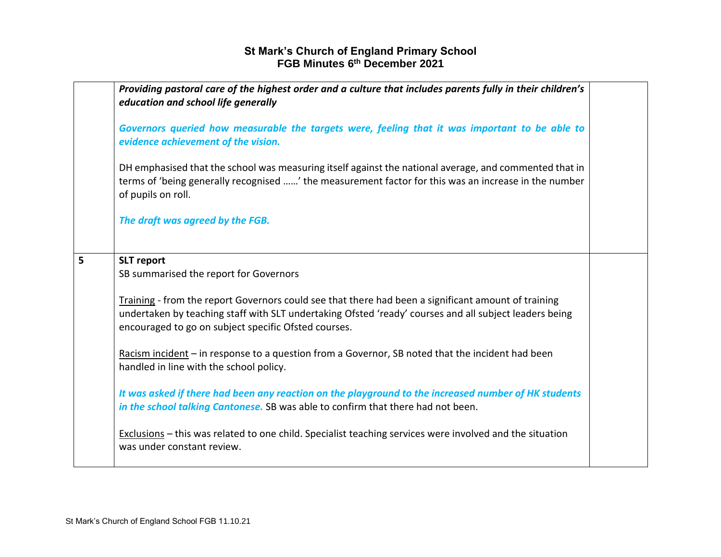|   | Providing pastoral care of the highest order and a culture that includes parents fully in their children's<br>education and school life generally                                                                                                                     |  |
|---|-----------------------------------------------------------------------------------------------------------------------------------------------------------------------------------------------------------------------------------------------------------------------|--|
|   | Governors queried how measurable the targets were, feeling that it was important to be able to<br>evidence achievement of the vision.                                                                                                                                 |  |
|   | DH emphasised that the school was measuring itself against the national average, and commented that in<br>terms of 'being generally recognised ' the measurement factor for this was an increase in the number<br>of pupils on roll.                                  |  |
|   | The draft was agreed by the FGB.                                                                                                                                                                                                                                      |  |
| 5 | <b>SLT</b> report                                                                                                                                                                                                                                                     |  |
|   | SB summarised the report for Governors                                                                                                                                                                                                                                |  |
|   | Training - from the report Governors could see that there had been a significant amount of training<br>undertaken by teaching staff with SLT undertaking Ofsted 'ready' courses and all subject leaders being<br>encouraged to go on subject specific Ofsted courses. |  |
|   | Racism incident $-$ in response to a question from a Governor, SB noted that the incident had been<br>handled in line with the school policy.                                                                                                                         |  |
|   | It was asked if there had been any reaction on the playground to the increased number of HK students<br>in the school talking Cantonese. SB was able to confirm that there had not been.                                                                              |  |
|   | Exclusions - this was related to one child. Specialist teaching services were involved and the situation<br>was under constant review.                                                                                                                                |  |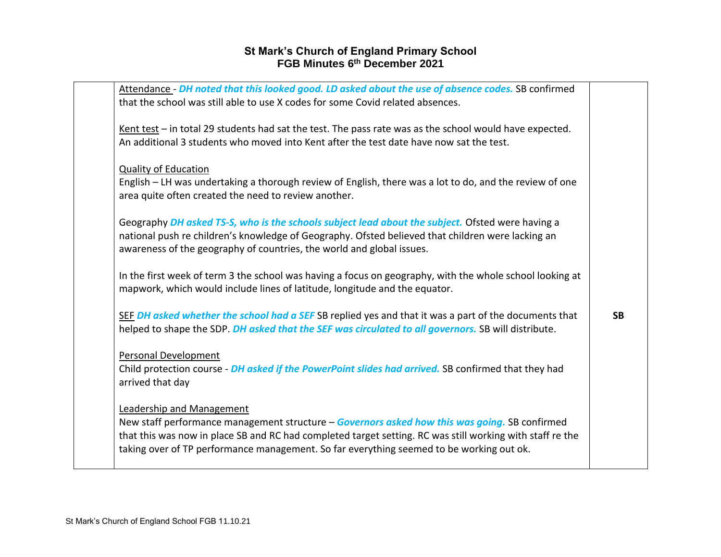| Attendance - DH noted that this looked good. LD asked about the use of absence codes. SB confirmed<br>that the school was still able to use X codes for some Covid related absences.                                                                                                                                                |           |
|-------------------------------------------------------------------------------------------------------------------------------------------------------------------------------------------------------------------------------------------------------------------------------------------------------------------------------------|-----------|
| Kent test $-$ in total 29 students had sat the test. The pass rate was as the school would have expected.<br>An additional 3 students who moved into Kent after the test date have now sat the test.                                                                                                                                |           |
| <b>Quality of Education</b><br>English – LH was undertaking a thorough review of English, there was a lot to do, and the review of one<br>area quite often created the need to review another.                                                                                                                                      |           |
| Geography DH asked TS-S, who is the schools subject lead about the subject. Ofsted were having a<br>national push re children's knowledge of Geography. Ofsted believed that children were lacking an<br>awareness of the geography of countries, the world and global issues.                                                      |           |
| In the first week of term 3 the school was having a focus on geography, with the whole school looking at<br>mapwork, which would include lines of latitude, longitude and the equator.                                                                                                                                              |           |
| SEF DH asked whether the school had a SEF SB replied yes and that it was a part of the documents that<br>helped to shape the SDP. DH asked that the SEF was circulated to all governors. SB will distribute.                                                                                                                        | <b>SB</b> |
| <b>Personal Development</b><br>Child protection course - DH asked if the PowerPoint slides had arrived. SB confirmed that they had<br>arrived that day                                                                                                                                                                              |           |
| Leadership and Management<br>New staff performance management structure - Governors asked how this was going. SB confirmed<br>that this was now in place SB and RC had completed target setting. RC was still working with staff re the<br>taking over of TP performance management. So far everything seemed to be working out ok. |           |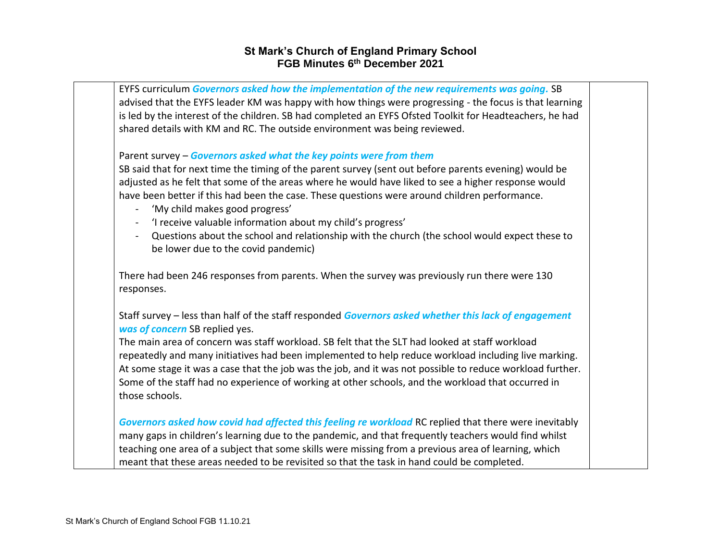| EYFS curriculum Governors asked how the implementation of the new requirements was going. SB<br>advised that the EYFS leader KM was happy with how things were progressing - the focus is that learning                                                                                                                                                                                                             |  |
|---------------------------------------------------------------------------------------------------------------------------------------------------------------------------------------------------------------------------------------------------------------------------------------------------------------------------------------------------------------------------------------------------------------------|--|
| is led by the interest of the children. SB had completed an EYFS Ofsted Toolkit for Headteachers, he had<br>shared details with KM and RC. The outside environment was being reviewed.                                                                                                                                                                                                                              |  |
| Parent survey - Governors asked what the key points were from them                                                                                                                                                                                                                                                                                                                                                  |  |
| SB said that for next time the timing of the parent survey (sent out before parents evening) would be<br>adjusted as he felt that some of the areas where he would have liked to see a higher response would                                                                                                                                                                                                        |  |
| have been better if this had been the case. These questions were around children performance.<br>'My child makes good progress'                                                                                                                                                                                                                                                                                     |  |
| 'I receive valuable information about my child's progress'<br>$\blacksquare$                                                                                                                                                                                                                                                                                                                                        |  |
| Questions about the school and relationship with the church (the school would expect these to<br>$\blacksquare$<br>be lower due to the covid pandemic)                                                                                                                                                                                                                                                              |  |
| There had been 246 responses from parents. When the survey was previously run there were 130<br>responses.                                                                                                                                                                                                                                                                                                          |  |
| Staff survey - less than half of the staff responded Governors asked whether this lack of engagement<br>was of concern SB replied yes.                                                                                                                                                                                                                                                                              |  |
| The main area of concern was staff workload. SB felt that the SLT had looked at staff workload                                                                                                                                                                                                                                                                                                                      |  |
| repeatedly and many initiatives had been implemented to help reduce workload including live marking.                                                                                                                                                                                                                                                                                                                |  |
| At some stage it was a case that the job was the job, and it was not possible to reduce workload further.                                                                                                                                                                                                                                                                                                           |  |
| Some of the staff had no experience of working at other schools, and the workload that occurred in<br>those schools.                                                                                                                                                                                                                                                                                                |  |
| Governors asked how covid had affected this feeling re workload RC replied that there were inevitably<br>many gaps in children's learning due to the pandemic, and that frequently teachers would find whilst<br>teaching one area of a subject that some skills were missing from a previous area of learning, which<br>meant that these areas needed to be revisited so that the task in hand could be completed. |  |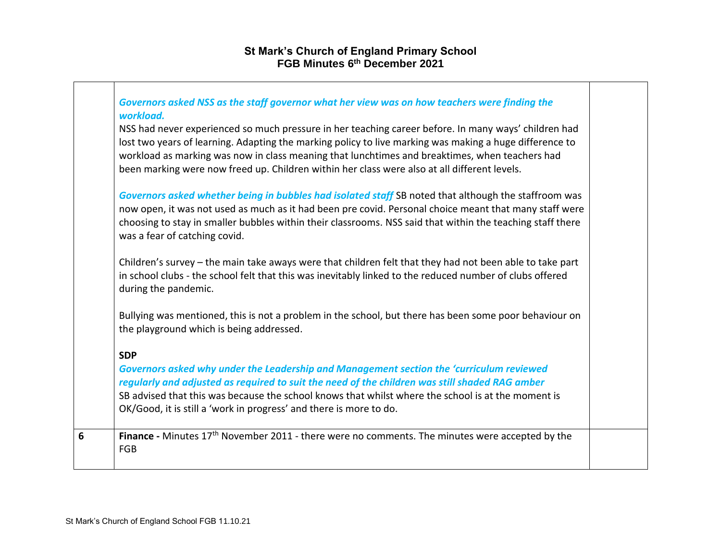|   | Governors asked NSS as the staff governor what her view was on how teachers were finding the<br>workload.                                                                                                                                                                                                                                                                                                         |  |
|---|-------------------------------------------------------------------------------------------------------------------------------------------------------------------------------------------------------------------------------------------------------------------------------------------------------------------------------------------------------------------------------------------------------------------|--|
|   | NSS had never experienced so much pressure in her teaching career before. In many ways' children had<br>lost two years of learning. Adapting the marking policy to live marking was making a huge difference to<br>workload as marking was now in class meaning that lunchtimes and breaktimes, when teachers had<br>been marking were now freed up. Children within her class were also at all different levels. |  |
|   | Governors asked whether being in bubbles had isolated staff SB noted that although the staffroom was<br>now open, it was not used as much as it had been pre covid. Personal choice meant that many staff were<br>choosing to stay in smaller bubbles within their classrooms. NSS said that within the teaching staff there<br>was a fear of catching covid.                                                     |  |
|   | Children's survey – the main take aways were that children felt that they had not been able to take part<br>in school clubs - the school felt that this was inevitably linked to the reduced number of clubs offered<br>during the pandemic.                                                                                                                                                                      |  |
|   | Bullying was mentioned, this is not a problem in the school, but there has been some poor behaviour on<br>the playground which is being addressed.                                                                                                                                                                                                                                                                |  |
|   | <b>SDP</b>                                                                                                                                                                                                                                                                                                                                                                                                        |  |
|   | Governors asked why under the Leadership and Management section the 'curriculum reviewed<br>regularly and adjusted as required to suit the need of the children was still shaded RAG amber<br>SB advised that this was because the school knows that whilst where the school is at the moment is<br>OK/Good, it is still a 'work in progress' and there is more to do.                                            |  |
| 6 | Finance - Minutes 17 <sup>th</sup> November 2011 - there were no comments. The minutes were accepted by the<br><b>FGB</b>                                                                                                                                                                                                                                                                                         |  |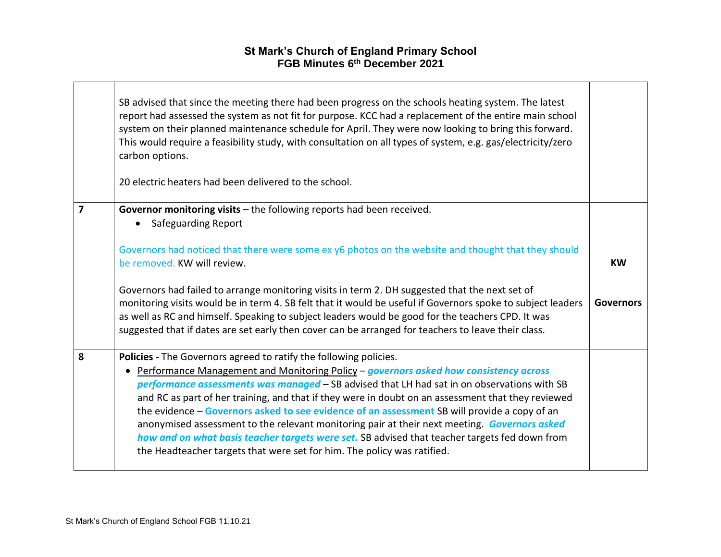|   | SB advised that since the meeting there had been progress on the schools heating system. The latest<br>report had assessed the system as not fit for purpose. KCC had a replacement of the entire main school<br>system on their planned maintenance schedule for April. They were now looking to bring this forward.<br>This would require a feasibility study, with consultation on all types of system, e.g. gas/electricity/zero<br>carbon options.<br>20 electric heaters had been delivered to the school.                                                                                                                                                                                                                            |                  |
|---|---------------------------------------------------------------------------------------------------------------------------------------------------------------------------------------------------------------------------------------------------------------------------------------------------------------------------------------------------------------------------------------------------------------------------------------------------------------------------------------------------------------------------------------------------------------------------------------------------------------------------------------------------------------------------------------------------------------------------------------------|------------------|
| 7 | Governor monitoring visits $-$ the following reports had been received.                                                                                                                                                                                                                                                                                                                                                                                                                                                                                                                                                                                                                                                                     |                  |
|   | <b>Safeguarding Report</b><br>$\bullet$                                                                                                                                                                                                                                                                                                                                                                                                                                                                                                                                                                                                                                                                                                     |                  |
|   | Governors had noticed that there were some ex y6 photos on the website and thought that they should<br>be removed. KW will review.                                                                                                                                                                                                                                                                                                                                                                                                                                                                                                                                                                                                          | <b>KW</b>        |
|   | Governors had failed to arrange monitoring visits in term 2. DH suggested that the next set of<br>monitoring visits would be in term 4. SB felt that it would be useful if Governors spoke to subject leaders<br>as well as RC and himself. Speaking to subject leaders would be good for the teachers CPD. It was<br>suggested that if dates are set early then cover can be arranged for teachers to leave their class.                                                                                                                                                                                                                                                                                                                   | <b>Governors</b> |
| 8 | Policies - The Governors agreed to ratify the following policies.<br>Performance Management and Monitoring Policy - governors asked how consistency across<br>performance assessments was managed - SB advised that LH had sat in on observations with SB<br>and RC as part of her training, and that if they were in doubt on an assessment that they reviewed<br>the evidence - Governors asked to see evidence of an assessment SB will provide a copy of an<br>anonymised assessment to the relevant monitoring pair at their next meeting. Governors asked<br>how and on what basis teacher targets were set. SB advised that teacher targets fed down from<br>the Headteacher targets that were set for him. The policy was ratified. |                  |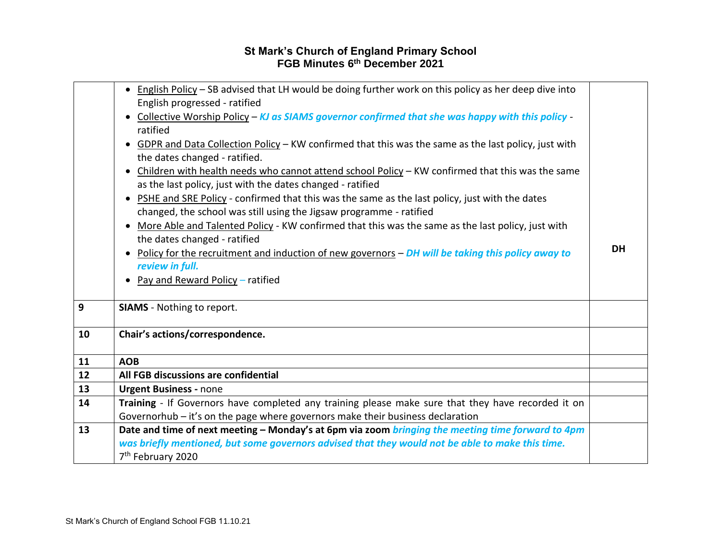|    | • English Policy - SB advised that LH would be doing further work on this policy as her deep dive into<br>English progressed - ratified<br>Collective Worship Policy - KJ as SIAMS governor confirmed that she was happy with this policy<br>ratified<br>GDPR and Data Collection Policy - KW confirmed that this was the same as the last policy, just with<br>the dates changed - ratified.<br>Children with health needs who cannot attend school Policy - KW confirmed that this was the same<br>$\bullet$<br>as the last policy, just with the dates changed - ratified<br>PSHE and SRE Policy - confirmed that this was the same as the last policy, just with the dates<br>changed, the school was still using the Jigsaw programme - ratified<br>More Able and Talented Policy - KW confirmed that this was the same as the last policy, just with<br>the dates changed - ratified<br>Policy for the recruitment and induction of new governors - DH will be taking this policy away to<br>$\bullet$ | <b>DH</b> |
|----|--------------------------------------------------------------------------------------------------------------------------------------------------------------------------------------------------------------------------------------------------------------------------------------------------------------------------------------------------------------------------------------------------------------------------------------------------------------------------------------------------------------------------------------------------------------------------------------------------------------------------------------------------------------------------------------------------------------------------------------------------------------------------------------------------------------------------------------------------------------------------------------------------------------------------------------------------------------------------------------------------------------|-----------|
|    | review in full.                                                                                                                                                                                                                                                                                                                                                                                                                                                                                                                                                                                                                                                                                                                                                                                                                                                                                                                                                                                              |           |
|    | Pay and Reward Policy - ratified                                                                                                                                                                                                                                                                                                                                                                                                                                                                                                                                                                                                                                                                                                                                                                                                                                                                                                                                                                             |           |
|    |                                                                                                                                                                                                                                                                                                                                                                                                                                                                                                                                                                                                                                                                                                                                                                                                                                                                                                                                                                                                              |           |
| 9  | <b>SIAMS</b> - Nothing to report.                                                                                                                                                                                                                                                                                                                                                                                                                                                                                                                                                                                                                                                                                                                                                                                                                                                                                                                                                                            |           |
| 10 | Chair's actions/correspondence.                                                                                                                                                                                                                                                                                                                                                                                                                                                                                                                                                                                                                                                                                                                                                                                                                                                                                                                                                                              |           |
| 11 | <b>AOB</b>                                                                                                                                                                                                                                                                                                                                                                                                                                                                                                                                                                                                                                                                                                                                                                                                                                                                                                                                                                                                   |           |
| 12 | All FGB discussions are confidential                                                                                                                                                                                                                                                                                                                                                                                                                                                                                                                                                                                                                                                                                                                                                                                                                                                                                                                                                                         |           |
| 13 | <b>Urgent Business - none</b>                                                                                                                                                                                                                                                                                                                                                                                                                                                                                                                                                                                                                                                                                                                                                                                                                                                                                                                                                                                |           |
| 14 | Training - If Governors have completed any training please make sure that they have recorded it on<br>Governorhub - it's on the page where governors make their business declaration                                                                                                                                                                                                                                                                                                                                                                                                                                                                                                                                                                                                                                                                                                                                                                                                                         |           |
| 13 | Date and time of next meeting - Monday's at 6pm via zoom bringing the meeting time forward to 4pm<br>was briefly mentioned, but some governors advised that they would not be able to make this time.<br>7 <sup>th</sup> February 2020                                                                                                                                                                                                                                                                                                                                                                                                                                                                                                                                                                                                                                                                                                                                                                       |           |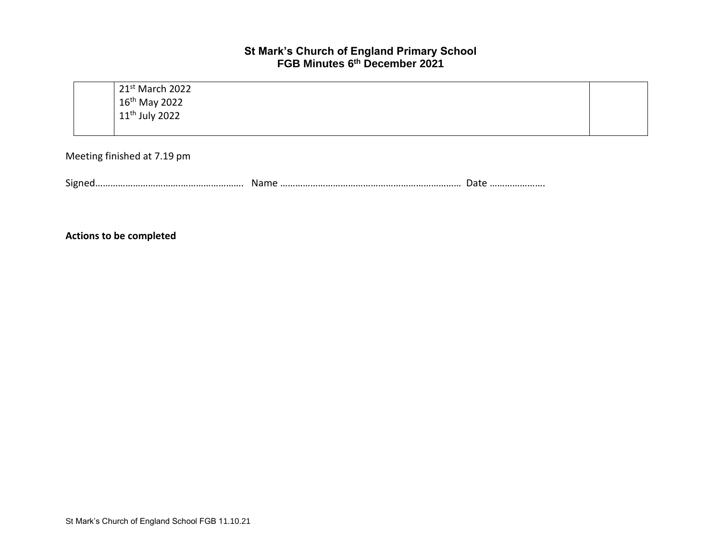21st March 2022 16th May 2022 11th July 2022

Meeting finished at 7.19 pm

Signed…………………………….……………………. Name ……………………………………………………………… Date ………………….

**Actions to be completed**